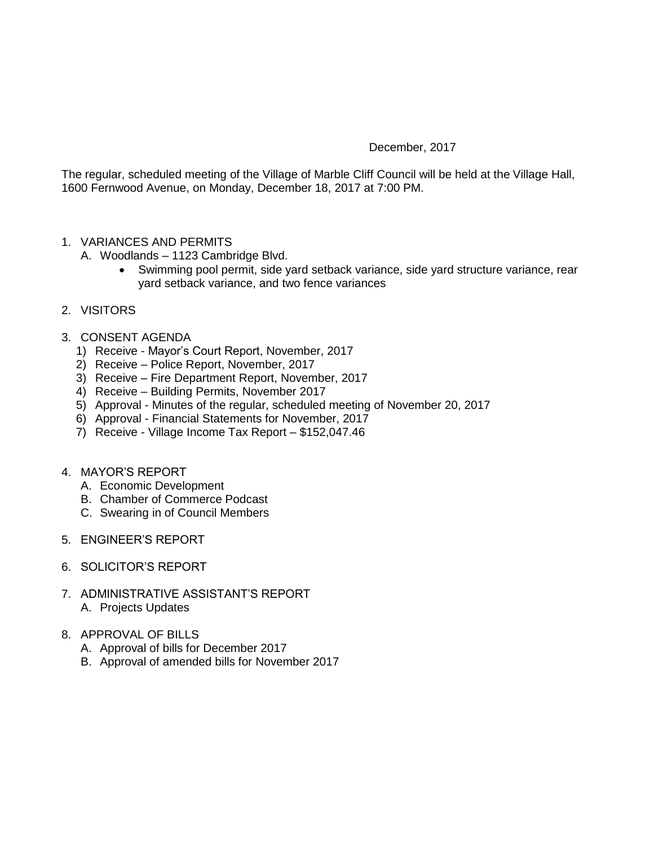## December, 2017

The regular, scheduled meeting of the Village of Marble Cliff Council will be held at the Village Hall, 1600 Fernwood Avenue, on Monday, December 18, 2017 at 7:00 PM.

- 1. VARIANCES AND PERMITS
	- A. Woodlands 1123 Cambridge Blvd.
		- Swimming pool permit, side yard setback variance, side yard structure variance, rear yard setback variance, and two fence variances
- 2. VISITORS
- 3. CONSENT AGENDA
	- 1) Receive Mayor's Court Report, November, 2017
	- 2) Receive Police Report, November, 2017
	- 3) Receive Fire Department Report, November, 2017
	- 4) Receive Building Permits, November 2017
	- 5) Approval Minutes of the regular, scheduled meeting of November 20, 2017
	- 6) Approval Financial Statements for November, 2017
	- 7) Receive Village Income Tax Report \$152,047.46
- 4. MAYOR'S REPORT
	- A. Economic Development
	- B. Chamber of Commerce Podcast
	- C. Swearing in of Council Members
- 5. ENGINEER'S REPORT
- 6. SOLICITOR'S REPORT
- 7. ADMINISTRATIVE ASSISTANT'S REPORT A. Projects Updates
- 8. APPROVAL OF BILLS
	- A. Approval of bills for December 2017
	- B. Approval of amended bills for November 2017